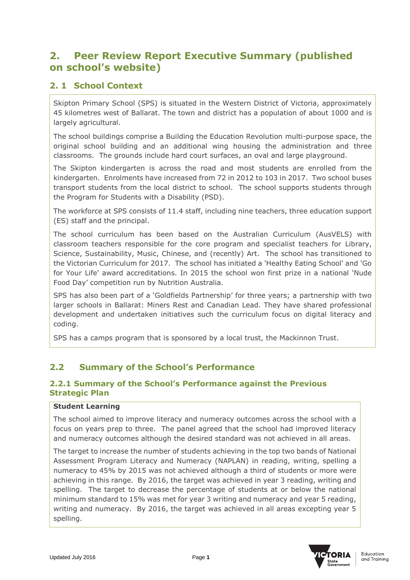# **2. Peer Review Report Executive Summary (published on school's website)**

## **2. 1 School Context**

Skipton Primary School (SPS) is situated in the Western District of Victoria, approximately 45 kilometres west of Ballarat. The town and district has a population of about 1000 and is largely agricultural.

The school buildings comprise a Building the Education Revolution multi-purpose space, the original school building and an additional wing housing the administration and three classrooms. The grounds include hard court surfaces, an oval and large playground.

The Skipton kindergarten is across the road and most students are enrolled from the kindergarten. Enrolments have increased from 72 in 2012 to 103 in 2017. Two school buses transport students from the local district to school. The school supports students through the Program for Students with a Disability (PSD).

The workforce at SPS consists of 11.4 staff, including nine teachers, three education support (ES) staff and the principal.

The school curriculum has been based on the Australian Curriculum (AusVELS) with classroom teachers responsible for the core program and specialist teachers for Library, Science, Sustainability, Music, Chinese, and (recently) Art. The school has transitioned to the Victorian Curriculum for 2017. The school has initiated a 'Healthy Eating School' and 'Go for Your Life' award accreditations. In 2015 the school won first prize in a national 'Nude Food Day' competition run by Nutrition Australia.

SPS has also been part of a 'Goldfields Partnership' for three years; a partnership with two larger schools in Ballarat: Miners Rest and Canadian Lead. They have shared professional development and undertaken initiatives such the curriculum focus on digital literacy and coding.

SPS has a camps program that is sponsored by a local trust, the Mackinnon Trust.

# **2.2 Summary of the School's Performance**

### **2.2.1 Summary of the School's Performance against the Previous Strategic Plan**

#### **Student Learning**

The school aimed to improve literacy and numeracy outcomes across the school with a focus on years prep to three. The panel agreed that the school had improved literacy and numeracy outcomes although the desired standard was not achieved in all areas.

The target to increase the number of students achieving in the top two bands of National Assessment Program Literacy and Numeracy (NAPLAN) in reading, writing, spelling a numeracy to 45% by 2015 was not achieved although a third of students or more were achieving in this range. By 2016, the target was achieved in year 3 reading, writing and spelling. The target to decrease the percentage of students at or below the national minimum standard to 15% was met for year 3 writing and numeracy and year 5 reading, writing and numeracy. By 2016, the target was achieved in all areas excepting year 5 spelling.

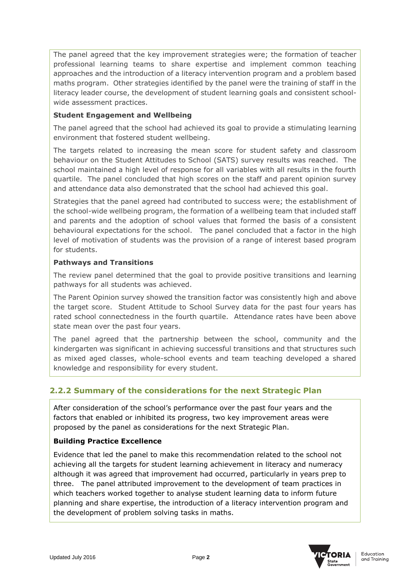The panel agreed that the key improvement strategies were; the formation of teacher professional learning teams to share expertise and implement common teaching approaches and the introduction of a literacy intervention program and a problem based maths program. Other strategies identified by the panel were the training of staff in the literacy leader course, the development of student learning goals and consistent schoolwide assessment practices.

#### **Student Engagement and Wellbeing**

The panel agreed that the school had achieved its goal to provide a stimulating learning environment that fostered student wellbeing.

The targets related to increasing the mean score for student safety and classroom behaviour on the Student Attitudes to School (SATS) survey results was reached. The school maintained a high level of response for all variables with all results in the fourth quartile. The panel concluded that high scores on the staff and parent opinion survey and attendance data also demonstrated that the school had achieved this goal.

Strategies that the panel agreed had contributed to success were; the establishment of the school-wide wellbeing program, the formation of a wellbeing team that included staff and parents and the adoption of school values that formed the basis of a consistent behavioural expectations for the school. The panel concluded that a factor in the high level of motivation of students was the provision of a range of interest based program for students.

### **Pathways and Transitions**

The review panel determined that the goal to provide positive transitions and learning pathways for all students was achieved.

The Parent Opinion survey showed the transition factor was consistently high and above the target score. Student Attitude to School Survey data for the past four years has rated school connectedness in the fourth quartile. Attendance rates have been above state mean over the past four years.

The panel agreed that the partnership between the school, community and the kindergarten was significant in achieving successful transitions and that structures such as mixed aged classes, whole-school events and team teaching developed a shared knowledge and responsibility for every student.

## **2.2.2 Summary of the considerations for the next Strategic Plan**

After consideration of the school's performance over the past four years and the factors that enabled or inhibited its progress, two key improvement areas were proposed by the panel as considerations for the next Strategic Plan.

#### **Building Practice Excellence**

Evidence that led the panel to make this recommendation related to the school not achieving all the targets for student learning achievement in literacy and numeracy although it was agreed that improvement had occurred, particularly in years prep to three. The panel attributed improvement to the development of team practices in which teachers worked together to analyse student learning data to inform future planning and share expertise, the introduction of a literacy intervention program and the development of problem solving tasks in maths.